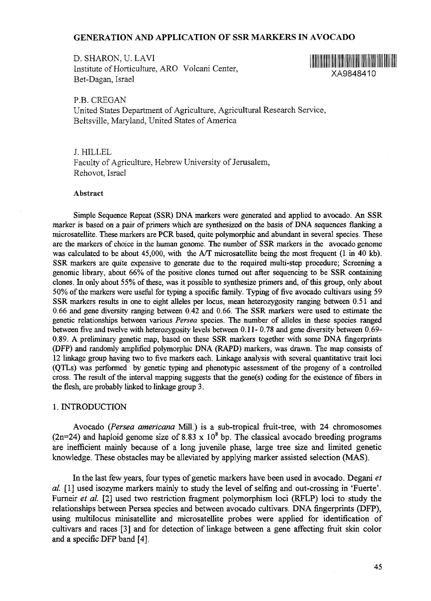## GENERATION AND APPLICATION OF SSR MARKERS IN AVOCADO

D. SHARON, U. LAVI Institute of Horticulture, ARO Volcani Center, Bet-Dagan, Israel



P.B. CREGAN United States Department of Agriculture, Agricultural Research Service, Beltsville, Maryland, United States of America

J. HILLEL

Faculty of Agriculture, Hebrew University of Jerusalem, Rehovot, Israel

### Abstract

Simple Sequence Repeat (SSR) DNA markers were generated and applied to avocado. An SSR marker is based on a pair of primers which are synthesized on the basis of DNA sequences flanking a microsatellite. These markers are PCR based, quite polymorphic and abundant in several species. These are the markers of choice in the human genome. The number of SSR markers in the avocado genome was calculated to be about 45,000, with the A/T microsatellite being the most frequent (1 in 40 kb). SSR markers are quite expensive to generate due to the required multi-step procedure; Screening a genomic library, about 66% of the positive clones turned out after sequencing to be SSR containing clones. In only about 55% of these, was it possible to synthesize primers and, of this group, only about 50% of the markers were useful for typing a specific family. Typing of five avocado cultivars using 59 SSR markers results in one to eight alleles per locus, mean heterozygosity ranging between 0.51 and 0.66 and gene diversity ranging between 0.42 and 0.66. The SSR markers were used to estimate the genetic relationships between various *Persea* species. The number of alleles in these species ranged between five and twelve with heterozygosity levels between 0.11- 0.78 and gene diversity between 0.69- 0.89. A preliminary genetic map, based on these SSR markers together with some DNA fingerprints (DFP) and randomly amplified polymorphic DNA (RAPD) markers, was drawn. The map consists of 12 linkage group having two to five markers each. Linkage analysis with several quantitative trait loci (QTLs) was performed by genetic typing and phenotypic assessment of the progeny of a controlled cross. The result of the interval mapping suggests that the gene(s) coding for the existence of fibers in the flesh, are probably linked to linkage group 3.

#### 1. INTRODUCTION

Avocado *(Persea americana* Mill.) is a sub-tropical fruit-tree, with 24 chromosomes (2n=24) and haploid genome size of 8.83 x  $10<sup>8</sup>$  bp. The classical avocado breeding programs are inefficient mainly because of a long juvenile phase, large tree size and limited genetic knowledge. These obstacles may be alleviated by applying marker assisted selection (MAS).

In the last few years, four types of genetic markers have been used in avocado. Degani *et al.* [1] used isozyme markers mainly to study the level of selfing and out-crossing in 'Fuerte'. Furneir *et al.* [2] used two restriction fragment polymorphism loci (RFLP) loci to study the relationships between Persea species and between avocado cultivars. DNA fingerprints (DFP), using multilocus minisatellite and microsatellite probes were applied for identification of cultivars and races [3] and for detection of linkage between a gene affecting fruit skin color and a specific DFP band [4].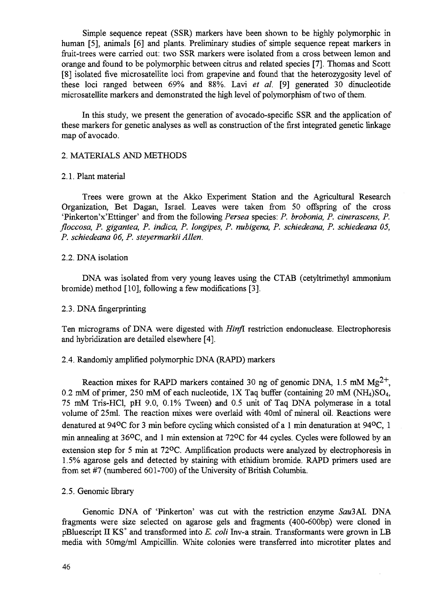Simple sequence repeat (SSR) markers have been shown to be highly polymorphic in human [5], animals [6] and plants. Preliminary studies of simple sequence repeat markers in fruit-trees were carried out: two SSR markers were isolated from a cross between lemon and orange and found to be polymorphic between citrus and related species [7]. Thomas and Scott [8] isolated five microsatellite loci from grapevine and found that the heterozygosity level of these loci ranged between 69% and 88%. Lavi *et al,* [9] generated 30 dinucleotide microsatellite markers and demonstrated the high level of polymorphism of two of them.

In this study, we present the generation of avocado-specific SSR and the application of these markers for genetic analyses as well as construction of the first integrated genetic linkage map of avocado.

### 2. MATERIALS AND METHODS

### 2.1. Plant material

Trees were grown at the Akko Experiment Station and the Agricultural Research Organization, Bet Dagan, Israel. Leaves were taken from 50 offspring of the cross 'Pinkerton'x'Ettinger' and from the following *Persea* species: *P. brobonia, P. cinerascens, P. floccosa, P. gigantea, P. indica, P. longipes, P. nubigena, P. schiedeana, P. schiedeana 05, P. schiedeana 06, P. steyermarkii Allen.*

## 2.2. DNA isolation

DNA was isolated from very young leaves using the CTAB (cetyltrimethyl ammonium bromide) method [10], following a few modifications [3].

### 2.3. DNA fingerprinting

Ten micrograms of DNA were digested with *Hinjl* restriction endonuclease. Electrophoresis and hybridization are detailed elsewhere [4].

### 2.4. Randomly amplified polymorphic DNA (RAPD) markers

Reaction mixes for RAPD markers contained 30 ng of genomic DNA, 1.5 mM  $Mg^{2+}$ , 0.2 mM of primer, 250 mM of each nucleotide, 1X Taq buffer (containing 20 mM  $(NH<sub>4</sub>)SO<sub>4</sub>$ , 75 mM Tris-HCl, pH 9.0, 0.1% Tween) and 0.5 unit of Taq DNA polymerase in a total volume of 25ml. The reaction mixes were overlaid with 40ml of mineral oil. Reactions were denatured at 94°C for 3 min before cycling which consisted of a 1 min denaturation at 94°C, 1 min annealing at 36<sup>o</sup>C, and 1 min extension at 72<sup>o</sup>C for 44 cycles. Cycles were followed by an extension step for 5 min at 72°C. Amplification products were analyzed by electrophoresis in 1.5% agarose gels and detected by staining with ethidium bromide. RAPD primers used are from set #7 (numbered 601-700) of the University of British Columbia.

### 2.5. Genomic library

Genomic DNA of 'Pinkerton' was cut with the restriction enzyme *Sau3AL* DNA fragments were size selected on agarose gels and fragments (400-600bp) were cloned in pBluescript II KS<sup>+</sup> and transformed into E. coli Inv-a strain. Transformants were grown in LB media with 50mg/ml Ampicillin. White colonies were transferred into microtiter plates and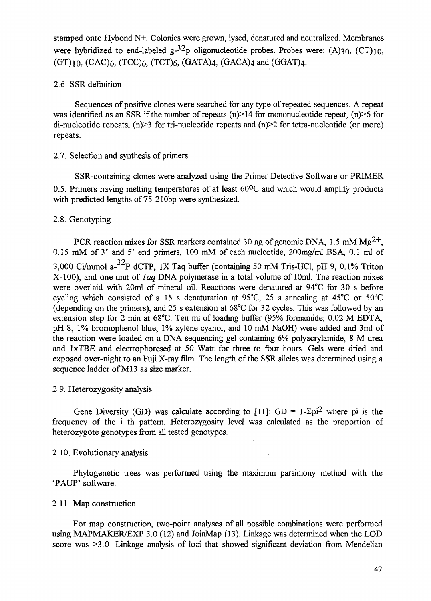stamped onto Hybond N+. Colonies were grown, lysed, denatured and neutralized. Membranes were hybridized to end-labeled  $g^{-32}p$  oligonucleotide probes. Probes were: (A)30, (CT)10,  $(GT)_{10}$ ,  $(CAC)_{6}$ ,  $(TCC)_{6}$ ,  $(TCT)_{6}$ ,  $(GATA)_{4}$ ,  $(GACA)_{4}$  and  $(GGAT)_{4}$ .

## 2.6. SSR definition

Sequences of positive clones were searched for any type of repeated sequences. A repeat was identified as an SSR if the number of repeats  $(n)$  > 14 for mononucleotide repeat,  $(n)$  > 6 for di-nucleotide repeats, (n) > 3 for tri-nucleotide repeats and (n) > 2 for tetra-nucleotide (or more) repeats.

## 2.7. Selection and synthesis of primers

SSR-containing clones were analyzed using the Primer Detective Software or PRIMER 0.5. Primers having melting temperatures of at least 60°C and which would amplify products with predicted lengths of 75-210bp were synthesized.

# 2.8. Genotyping

PCR reaction mixes for SSR markers contained 30 ng of genomic DNA, 1.5 mM  $Mg^{2+}$ , 0.15 mM of 3' and 5' end primers, 100 mM of each nucleotide, 200mg/ml BSA, 0.1 ml of 3,000 Ci/mmol a-<sup>32</sup>P dCTP, IX Taq buffer (containing 50 mM Tris-HCl, pH 9, 0.1% Triton X-100), and one unit of *Taq* DNA polymerase in a total volume of 10ml. The reaction mixes were overlaid with 20ml of mineral oil. Reactions were denatured at 94°C for 30 s before cycling which consisted of a 15 s denaturation at 95°C, 25 s annealing at 45°C or 50°C (depending on the primers), and 25 s extension at 68°C for 32 cycles. This was followed by an extension step for 2 min at 68°C. Ten ml of loading buffer (95% formamide; 0.02 M EDTA, pH 8; 1% bromophenol blue; 1% xylene cyanol; and 10 mM NaOH) were added and 3ml of the reaction were loaded on a DNA sequencing gel containing 6% polyacrylamide, 8 M urea and lxTBE and electrophoresed at 50 Watt for three to four hours. Gels were dried and exposed over-night to an Fuji X-ray film. The length of the SSR alleles was determined using a sequence ladder of M13 as size marker.

### 2.9. Heterozygosity analysis

Gene Diversity (GD) was calculate according to [11]: GD =  $1-\Sigma$ pi<sup>2</sup> where pi is the frequency of the i th pattern. Heterozygosity level was calculated as the proportion of heterozygote genotypes from all tested genotypes.

### 2.10. Evolutionary analysis

Phylogenetic trees was performed using the maximum parsimony method with the 'PAUP' software.

### 2.11. Map construction

For map construction, two-point analyses of all possible combinations were performed using MAPMAKER/EXP 3.0 (12) and JoinMap (13). Linkage was determined when the LOD score was  $\geq$ 3.0. Linkage analysis of loci that showed significant deviation from Mendelian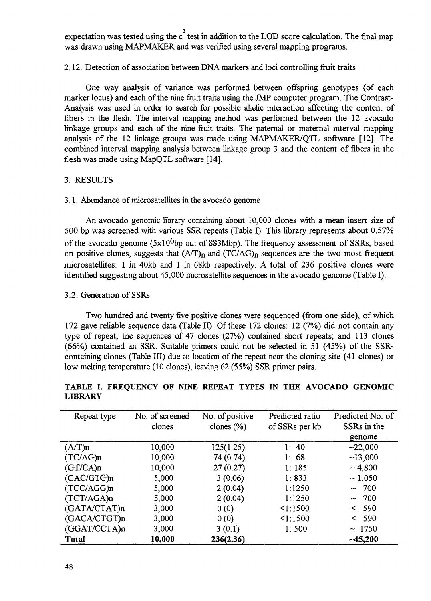expectation was tested using the  $c^2$  test in addition to the LOD score calculation. The final map was drawn using MAPMAKER and was verified using several mapping programs.

## 2.12. Detection of association between DNA markers and loci controlling fruit traits

One way analysis of variance was performed between offspring genotypes (of each marker locus) and each of the nine fruit traits using the JMP computer program. The Contrast-Analysis was used in order to search for possible allelic interaction affecting the content of fibers in the flesh. The interval mapping method was performed between the 12 avocado linkage groups and each of the nine fruit traits. The paternal or maternal interval mapping analysis of the 12 linkage groups was made using MAPMAKER/QTL software [12]. The combined interval mapping analysis between linkage group 3 and the content of fibers in the flesh was made using MapQTL software [14].

## 3. RESULTS

## 3.1. Abundance of microsatellites in the avocado genome

An avocado genomic library containing about 10,000 clones with a mean insert size of 500 bp was screened with various SSR repeats (Table I). This library represents about 0.57% of the avocado genome  $(5x10^6$ bp out of 883Mbp). The frequency assessment of SSRs, based on positive clones, suggests that  $(A/T)_n$  and  $(TC/AG)_n$  sequences are the two most frequent micro satellites: 1 in 40kb and 1 in 68kb respectively. A total of 236 positive clones were identified suggesting about 45,000 microsatellite sequences in the avocado genome (Table I).

## 3.2. Generation of SSRs

Two hundred and twenty five positive clones were sequenced (from one side), of which 172 gave reliable sequence data (Table II). Of these 172 clones: 12 (7%) did not contain any type of repeat; the sequences of 47 clones (27%) contained short repeats; and 113 clones (66%) contained an SSR. Suitable primers could not be selected in 51 (45%) of the SSRcontaining clones (Table III) due to location of the repeat near the cloning site (41 clones) or low melting temperature (10 clones), leaving 62 (55%) SSR primer pairs.

| Repeat type   | No. of screened<br>clones | No. of positive<br>clones $(\% )$ | Predicted ratio<br>of SSRs per kb | Predicted No. of<br>SSRs in the |
|---------------|---------------------------|-----------------------------------|-----------------------------------|---------------------------------|
|               |                           |                                   |                                   | genome                          |
| (A/T)n        | 10,000                    | 125(1.25)                         | 1:40                              | $-22,000$                       |
| (TC/AG)n      | 10,000                    | 74 (0.74)                         | 1:68                              | $-13,000$                       |
| (GT/CA)n      | 10,000                    | 27(0.27)                          | 1:185                             | ~1.800                          |
| (CAC/GTG)n    | 5,000                     | 3(0.06)                           | 1:833                             | ~1,050                          |
| $(TCC/AGG)$ n | 5,000                     | 2(0.04)                           | 1:1250                            | ~100                            |
| (TCT/AGA)n    | 5,000                     | 2(0.04)                           | 1:1250                            | ~100                            |
| (GATA/CTAT)n  | 3,000                     | 0(0)                              | 1:1500                            | < 590                           |
| (GACA/CTGT)n  | 3,000                     | 0(0)                              | $\leq$ 1:1500                     | < 590                           |
| (GGAT/CCTA)n  | 3,000                     | 3(0.1)                            | 1:500                             | ~1750                           |
| <b>Total</b>  | 10,000                    | 236(2.36)                         |                                   | $-45,200$                       |

# TABLE I. FREQUENCY OF NINE REPEAT TYPES **IN** THE **AVOCADO GENOMIC LIBRARY**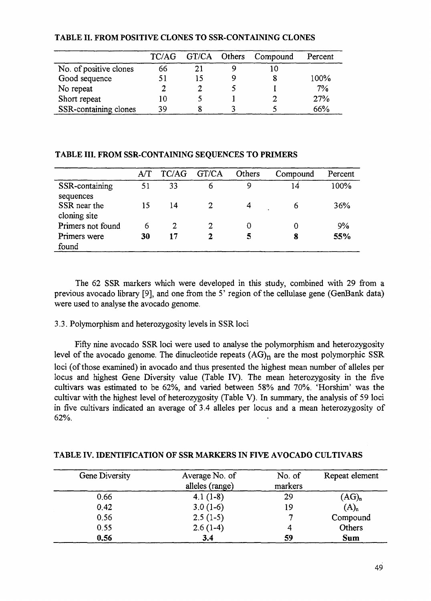|                        | TC/AG |    | GT/CA Others Compound | Percent |
|------------------------|-------|----|-----------------------|---------|
| No. of positive clones | 66    | 21 | 10                    |         |
| Good sequence          |       |    |                       | 100%    |
| No repeat              |       |    |                       | 7%      |
| Short repeat           | 10    |    |                       | 27%     |
| SSR-containing clones  | 39    |    |                       | 66%     |

# **TABLE II. FROM POSITIVE CLONES TO SSR-CONTAINING CLONES**

### **TABLE III. FROM SSR-CONTAINING SEQUENCES TO PRIMERS**

|                                           | A/T | TC/AG | GT/CA | Others | Compound | Percent |
|-------------------------------------------|-----|-------|-------|--------|----------|---------|
| SSR-containing                            | 51  | 33    | 6     | 9      | 14       | 100%    |
| sequences<br>SSR near the<br>cloning site | 15  | 14    |       |        | 6        | 36%     |
| Primers not found                         | 6   |       | 2     |        |          | 9%      |
| Primers were                              | 30  | 17    |       |        | 8        | 55%     |
| found                                     |     |       |       |        |          |         |

The 62 SSR markers which were developed in this study, combined with 29 from a previous avocado library [9], and one from the 5' region of the cellulase gene (GenBank data) were used to analyse the avocado genome.

# 3.3. Polymorphism and heterozygosity levels in SSR loci

Fifty nine avocado SSR loci were used to analyse the polymorphism and heterozygosity level of the avocado genome. The dinucleotide repeats  $(AG)<sub>n</sub>$  are the most polymorphic SSR loci (of those examined) in avocado and thus presented the highest mean number of alleles per locus and highest Gene Diversity value (Table IV). The mean heterozygosity in the five cultivars was estimated to be 62%, and varied between 58% and 70%. 'Horshim' was the cultivar with the highest level of heterozygosity (Table V). In summary, the analysis of 59 loci in five cultivars indicated an average of 3.4 alleles per locus and a mean heterozygosity of 62%.

| Gene Diversity | Average No. of<br>alleles (range) | No. of<br>markers | Repeat element   |
|----------------|-----------------------------------|-------------------|------------------|
| 0.66           | $4.1(1-8)$                        | 29                | $(AG)_n$         |
| 0.42           | $3.0(1-6)$                        | 19                | (A) <sub>n</sub> |
| 0.56           | $2.5(1-5)$                        |                   | Compound         |
| 0.55           | $2.6(1-4)$                        | 4                 | Others           |
| 0.56           | 3.4                               | 59                | <b>Sum</b>       |

# **TABLE IV. IDENTIFICATION OF SSR MARKERS IN FIVE AVOCADO CULTIVARS**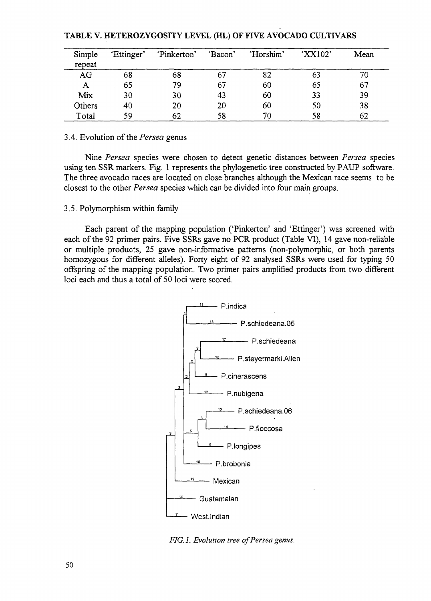| Simple<br>repeat | 'Ettinger' | 'Pinkerton' | 'Bacon' | 'Horshim' | 'XX102' | Mean |
|------------------|------------|-------------|---------|-----------|---------|------|
| AG               | 68         | 68          | 67      | 82        | 63      | 70   |
| A                | 65         | 79          | 67      | 60        | 65      | 67   |
| Mix              | 30         | 30          | 43      | 60        | 33      | 39   |
| Others           | 40         | 20          | 20      | 60        | 50      | 38   |
| Total            | 59         | 62          | 58      | 70        | 58      | 62   |

### TABLE V. HETEROZYGOSITY LEVEL (HL) OF FIVE AVOCADO CULTIVARS

### 3.4. Evolution *of the Persea* genus

Nine *Persea* species were chosen to detect genetic distances between *Persea* species using ten SSR markers. Fig. 1 represents the phylogenetic tree constructed by PAUP software. The three avocado races are located on close branches although the Mexican race seems to be closest to the other *Persea* species which can be divided into four main groups.

## 3.5. Polymorphism within family

Each parent of the mapping population ('Pinkerton' and 'Ettinger') was screened with each of the 92 primer pairs. Five SSRs gave no PCR product (Table VI), 14 gave non-reliable or multiple products, 25 gave non-informative patterns (non-polymorphic, or both parents homozygous for different alleles). Forty eight of 92 analysed SSRs were used for typing 50 offspring of the mapping population. Two primer pairs amplified products from two different loci each and thus a total of 50 loci were scored.



*FIG.l. Evolution tree of Persea genus.*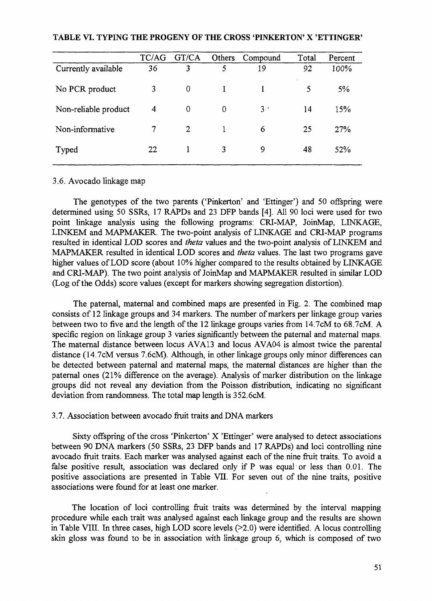|                      | TC/AG | GT/CA          | Others   | Compound  | Total | Percent |
|----------------------|-------|----------------|----------|-----------|-------|---------|
| Currently available  | 36    | 3              | 5        | 19        | 92    | 100%    |
| No PCR product       | 3     | 0              |          |           | 5     | $5\%$   |
| Non-reliable product | 4     | 0              | $\Omega$ | $3 \cdot$ | 14    | 15%     |
| Non-informative      | 7     | $\overline{2}$ |          | 6         | 25    | 27%     |
| Typed                | 22    |                | 3        | 9         | 48    | 52%     |

### TABLE VI. TYPING THE PROGENY OF THE CROSS 'PINKERTON' X 'ETTINGER'

### 3.6. Avocado linkage map

The genotypes of the two parents ('Pinkerton' and 'Ettinger') and 50 offspring were determined using 50 SSRs, 17 RAPDs and 23 DFP bands [4]. All 90 loci were used for two point linkage analysis using the following programs: CRI-MAP, JoinMap, LINKAGE, LINKEM and MAPMAKER. The two-point analysis of LINKAGE and CRI-MAP programs resulted in identical LOD scores and *theta* values and the two-point analysis of LINKEM and MAPMAKER resulted in identical LOD scores and *theta* values. The last two programs gave higher values of LOD score (about 10% higher compared to the results obtained by LINKAGE and CRI-MAP). The two point analysis of JoinMap and MAPMAKER resulted in similar LOD (Log of the Odds) score values (except for markers showing segregation distortion).

The paternal, maternal and combined maps are presented in Fig. 2. The combined map consists of 12 linkage groups and 34 markers. The number of markers per linkage group varies between two to five and the length of the 12 linkage groups varies from 14.7cM to 68.7cM. A specific region on linkage group 3 varies significantly between the paternal and maternal maps. The maternal distance between locus AVA13 and locus AVA04 is almost twice the parental distance (14.7cM versus 7.6cM). Although, in other linkage groups only minor differences can be detected between paternal and maternal maps, the maternal distances are higher than the paternal ones (21% difference on the average). Analysis of marker distribution on the linkage groups did not reveal any deviation from the Poisson distribution, indicating no significant deviation from randomness. The total map length is 352.6cM.

### 3.7. Association between avocado fruit traits and DNA markers

Sixty offspring of the cross 'Pinkerton' X 'Ettinger' were analysed to detect associations between 90 DNA markers (50 SSRs, 23 DFP bands and 17 RAPDs) and loci controlling nine avocado fruit traits. Each marker was analysed against each of the nine fruit traits. To avoid a false positive result, association was declared only if P was equal or less than 0.01. The positive associations are presented in Table VTI. For seven out of the nine traits, positive associations were found for at least one marker.

The location of loci controlling fruit traits was determined by the interval mapping procedure while each trait was analysed against each linkage group and the results are shown in Table VIII. In three cases, high LOD score levels (>2.0) were identified. A locus controlling skin gloss was found to be in association with linkage group 6, which is composed of two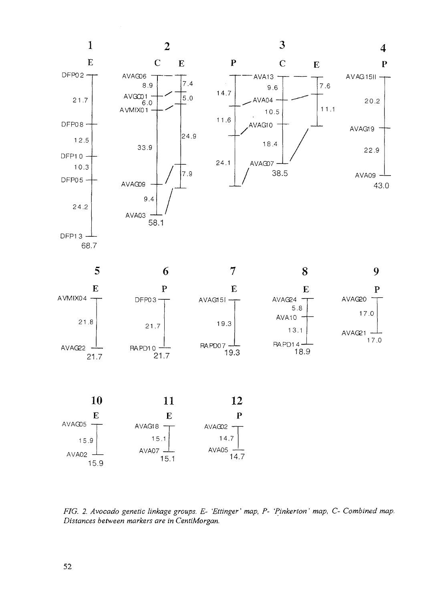

*FIG. 2. Avocado genetic linkage groups. E- 'Ettinger' map, P- 'Pinkerton' map, C- Combined map. Distances between markers are in CentiMorgan.*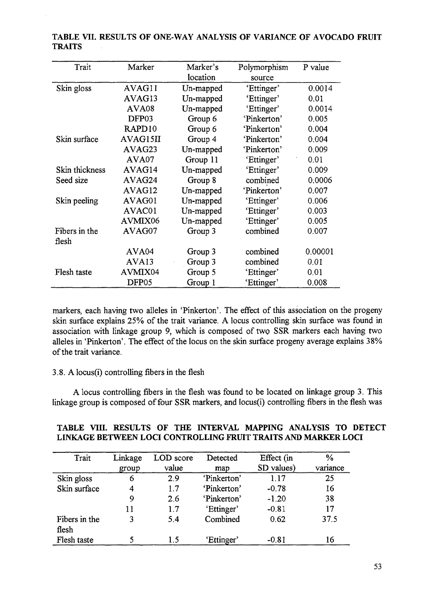| Trait          | Marker             | Marker's  | Polymorphism | P value |
|----------------|--------------------|-----------|--------------|---------|
|                |                    | location  | source       |         |
| Skin gloss     | AVAG11             | Un-mapped | 'Ettinger'   | 0.0014  |
|                | AVAG13             | Un-mapped | 'Ettinger'   | 0.01    |
|                | AVA08              | Un-mapped | 'Ettinger'   | 0.0014  |
|                | DFP03              | Group 6   | 'Pinkerton'  | 0.005   |
|                | RAPD <sub>10</sub> | Group 6   | 'Pinkerton'  | 0.004   |
| Skin surface   | AVAG15II           | Group 4   | 'Pinkerton'  | 0.004   |
|                | AVAG23             | Un-mapped | 'Pinkerton'  | 0.009   |
|                | AVA07              | Group 11  | 'Ettinger'   | 0.01    |
| Skin thickness | AVAG14             | Un-mapped | 'Ettinger'   | 0.009   |
| Seed size      | AVAG24             | Group 8   | combined     | 0.0006  |
|                | AVAG12             | Un-mapped | 'Pinkerton'  | 0.007   |
| Skin peeling   | AVAG01             | Un-mapped | 'Ettinger'   | 0.006   |
|                | AVAC01             | Un-mapped | 'Ettinger'   | 0.003   |
|                | AVMIX06            | Un-mapped | 'Ettinger'   | 0.005   |
| Fibers in the  | AVAG07             | Group 3   | combined     | 0.007   |
| flesh          |                    |           |              |         |
|                | AVA <sub>04</sub>  | Group 3   | combined     | 0.00001 |
|                | AVA <sub>13</sub>  | Group 3   | combined     | 0.01    |
| Flesh taste    | AVMIX04            | Group 5   | 'Ettinger'   | 0.01    |
|                | DFP <sub>05</sub>  | Group 1   | 'Ettinger'   | 0.008   |

**TABLE VII.** RESULTS **OF ONE-WAY ANALYSIS** OF **VARIANCE** OF **AVOCADO FRUIT TRAITS**

markers, each having two alleles in 'Pinkerton'. The effect of this association on the progeny skin surface explains 25% of the trait variance. A locus controlling skin surface was found in association with linkage group 9, which is composed of two SSR markers each having two alleles in 'Pinkerton'. The effect of the locus on the skin surface progeny average explains 38% of the trait variance.

# $3.8.$  A locus(i) controlling fibers in the flesh

A locus controlling fibers in the flesh was found to be located on linkage group 3. This linkage group is composed of four SSR markers, and locus(i) controlling fibers in the flesh was

| Trait         | Linkage | LOD score | Detected    | Effect (in | $\frac{0}{0}$ |
|---------------|---------|-----------|-------------|------------|---------------|
|               | group   | value     | map         | SD values) | variance      |
| Skin gloss    | 6       | 2.9       | 'Pinkerton' | 1.17       | 25            |
| Skin surface  |         | 1.7       | 'Pinkerton' | $-0.78$    | 16            |
|               | 9       | 2.6       | 'Pinkerton' | $-1.20$    | 38            |
|               | 11      | 1.7       | 'Ettinger'  | $-0.81$    | 17            |
| Fibers in the | 3       | 5.4       | Combined    | 0.62       | 37.5          |
| flesh         |         |           |             |            |               |
| Flesh taste   |         | 1.5       | 'Ettinger'  | $-0.81$    | 16            |

## **TABLE VIII. RESULTS OF THE INTERVAL MAPPING ANALYSIS TO DETECT LINKAGE BETWEEN LOCI CONTROLLING FRUIT TRAITS AND MARKER LOCI**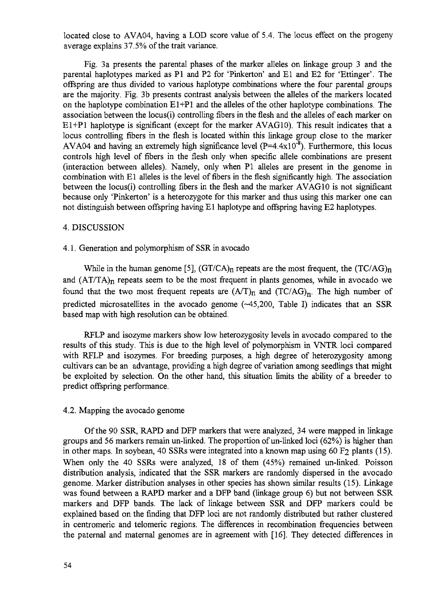located close to AVA04, having a LOD score value of 5.4. The locus effect on the progeny average explains 37.5% of the trait variance.

Fig. 3 a presents the parental phases of the marker alleles on linkage group 3 and the parental haplotypes marked as PI and P2 for 'Pinkerton' and El and E2 for 'Ettinger'. The offspring are thus divided to various haplotype combinations where the four parental groups are the majority. Fig. 3b presents contrast analysis between the alleles of the markers located on the haplotype combination  $E1+P1$  and the alleles of the other haplotype combinations. The association between the locus(i) controlling fibers in the flesh and the alleles of each marker on El+Pl haplotype is significant (except for the marker AVAG10). This result indicates that a locus controlling fibers in the flesh is located within this linkage group close to the marker AVA04 and having an extremely high significance level  $(P=4.4x10^{-8})$ . Furthermore, this locus controls high level of fibers in the flesh only when specific allele combinations are present (interaction between alleles). Namely, only when PI alleles are present in the genome in combination with El alleles is the level of fibers in the flesh significantly high. The association between the locus(i) controlling fibers in the flesh and the marker AVAG10 is not significant because only 'Pinkerton' is a heterozygote for this marker and thus using this marker one can not distinguish between offspring having El haplotype and offspring having E2 haplotypes.

### 4. DISCUSSION

### 4.1. Generation and polymorphism of SSR in avocado

While in the human genome [5],  $(GT/CA)_n$  repeats are the most frequent, the  $(TC/AG)_n$ and  $(AT/TA)<sub>n</sub>$  repeats seem to be the most frequent in plants genomes, while in avocado we found that the two most frequent repeats are  $(A/T)_n$  and  $(TC/AG)_n$ . The high number of predicted microsatellites in the avocado genome  $(-45,200,$  Table I) indicates that an SSR based map with high resolution can be obtained.

RFLP and isozyme markers show low heterozygosity levels in avocado compared to the results of this study. This is due to the high level of polymorphism in VNTR loci compared with RFLP and isozymes. For breeding purposes, a high degree of heterozygosity among cultivars can be an advantage, providing a high degree of variation among seedlings that might be exploited by selection. On the other hand, this situation limits the ability of a breeder to predict offspring performance.

#### 4.2. Mapping the avocado genome

Of the 90 SSR, RAPD and DFP markers that were analyzed, 34 were mapped in linkage groups and 56 markers remain un-linked. The proportion of un-linked loci (62%) is higher than in other maps. In soybean, 40 SSRs were integrated into a known map using 60 F<sub>2</sub> plants (15). When only the 40 SSRs were analyzed, 18 of them (45%) remained un-linked. Poisson distribution analysis, indicated that the SSR markers are randomly dispersed in the avocado genome. Marker distribution analyses in other species has shown similar results (15). Linkage was found between a RAPD marker and a DFP band (linkage group 6) but not between SSR markers and DFP bands. The lack of linkage between SSR and DFP markers could be explained based on the finding that DFP loci are not randomly distributed but rather clustered in centromeric and telomeric regions. The differences in recombination frequencies between the paternal and maternal genomes are in agreement with [16]. They detected differences in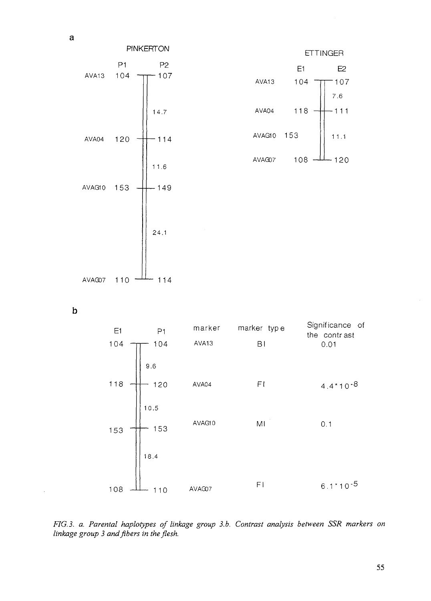PINKERTON P1 AVA13  $104 -$ AVA04 120 AVAG10 153 AVAG07  $110 -$ P2  $-107$ 14.7  $-114$ 11.6  $-149$ 24.1  $-114$ 



**b**

 $\mathcal{L}^{\text{max}}$ 

E1 104 118 153 108 PI  $-104$ 9.6  $-120$ 10.5  $-153$ 18.4 marker marker type AVA13 Bl AVA04 AVAG10  $-110$  AVAG07 Fl Ml Fl Significance of the contr ast 0.01  $4.4*10-8$ 0.1 6.1\*1 0 -5

*FIG. 3. a. Parental haplotypes of linkage group 3.b. Contrast analysis between SSR markers on linkage group 3 and fibers in the flesh.*

 $\mathbf{a}$ 

 $\mathcal{L}_{\mathcal{L}}$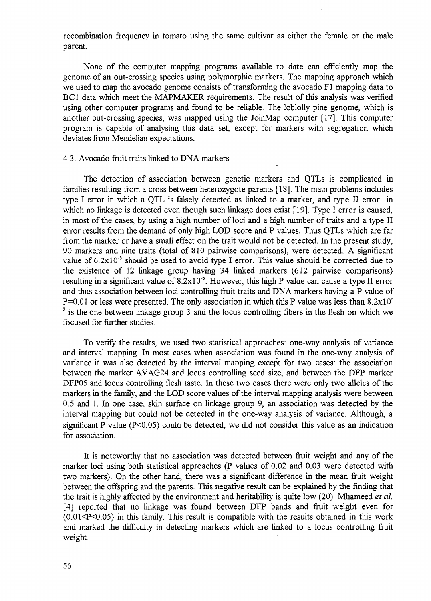recombination frequency in tomato using the same cultivar as either the female or the male parent.

None of the computer mapping programs available to date can efficiently map the genome of an out-crossing species using polymorphic markers. The mapping approach which we used to map the avocado genome consists of transforming the avocado Fl mapping data to BC1 data which meet the MAPMAKER requirements. The result of this analysis was verified using other computer programs and found to be reliable. The loblolly pine genome, which is another out-crossing species, was mapped using the JoinMap computer [17]. This computer program is capable of analysing this data set, except for markers with segregation which deviates from Mendelian expectations.

#### 4.3. Avocado fruit traits linked to DNA markers

The detection of association between genetic markers and QTLs is complicated in families resulting from a cross between heterozygote parents [18]. The main problems includes type I error in which a QTL is falsely detected as linked to a marker, and type II error in which no linkage is detected even though such linkage does exist [19]. Type I error is caused, in most of the cases, by using a high number of loci and a high number of traits and a type II error results from the demand of only high LOD score and P values. Thus QTLs which are far from the marker or have a small effect on the trait would not be detected. In the present study, 90 markers and nine traits (total of 810 pairwise comparisons), were detected. A significant value of  $6.2 \times 10^{-5}$  should be used to avoid type I error. This value should be corrected due to the existence of 12 linkage group having 34 linked markers (612 pairwise comparisons) resulting in a significant value of  $8.2 \times 10^{-5}$ . However, this high P value can cause a type II error and thus association between loci controlling fruit traits and DNA markers having a P value of  $P=0.01$  or less were presented. The only association in which this P value was less than 8.2x10"  $5$  is the one between linkage group 3 and the locus controlling fibers in the flesh on which we focused for further studies.

To verify the results, we used two statistical approaches: one-way analysis of variance and interval mapping. In most cases when association was found in the one-way analysis of variance it was also detected by the interval mapping except for two cases: the association between the marker AVAG24 and locus controlling seed size, and between the DFP marker DFP05 and locus controlling flesh taste. In these two cases there were only two alleles of the markers in the family, and the LOD score values of the interval mapping analysis were between 0.5 and 1. In one case, skin surface on linkage group *9,* an association was detected by the interval mapping but could not be detected in the one-way analysis of variance. Although, a significant P value  $(P<0.05)$  could be detected, we did not consider this value as an indication for association.

It is noteworthy that no association was detected between fruit weight and any of the marker loci using both statistical approaches (P values of 0.02 and 0.03 were detected with two markers). On the other hand, there was a significant difference in the mean fruit weight between the offspring and the parents. This negative result can be explained by the finding that the trait is highly affected by the environment and heritability is quite low (20). Mhameed *et al.* [4] reported that no linkage was found between DFP bands and fruit weight even for  $(0.01 \le P \le 0.05)$  in this family. This result is compatible with the results obtained in this work and marked the difficulty in detecting markers which are linked to a locus controlling fruit weight.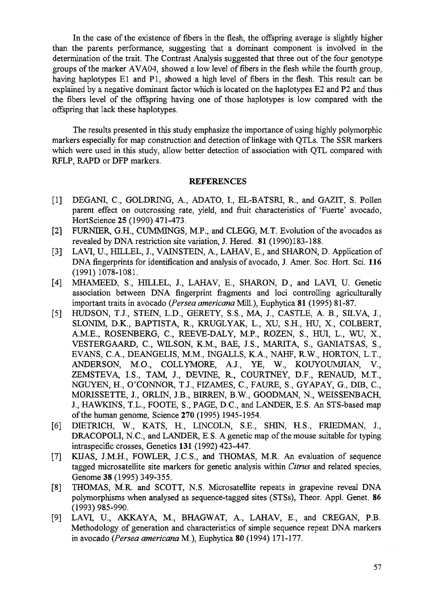In the case of the existence of fibers in the flesh, the offspring average is slightly higher than the parents performance, suggesting that a dominant component is involved in the determination of the trait. The Contrast Analysis suggested that three out of the four genotype groups of the marker AVA04, showed a low level of fibers in the flesh while the fourth group, having haplotypes El and PI, showed a high level of fibers in the flesh. This result can be explained by a negative dominant factor which is located on the haplotypes E2 and P2 and thus the fibers level of the offspring having one of those haplotypes is low compared with the offspring that lack these haplotypes.

The results presented in this study emphasize the importance of using highly polymorphic markers especially for map construction and detection of linkage with QTLs. The SSR markers which were used in this study, allow better detection of association with QTL compared with RFLP, RAPD or DFP markers.

### **REFERENCES**

- [1] DEGANI, C., GOLDRING, A., ADATO, I., EL-BATSRI, R., and GAZIT, S. Pollen parent effect on outcrossing rate, yield, and fruit characteristics of 'Fuerte' avocado, HortScience 25 (1990) 471-473.
- [2] FURNIER, G.H., CUMMINGS, M.P., and CLEGG, M.T. Evolution of the avocados as revealed by DNA restriction site variation, J. Hered. 81 (1990)183-188.
- [3] LAVI, U., HILLEL, J., VAINSTEIN, A., LAHAV, E., and SHARON, D. Application of DNA fingerprints for identification and analysis of avocado, J. Amer. Soc. Hort. Sci. 116 (1991) 1078-1081.
- [4] MHAMEED, S., HILLEL, J., LAHAV, E., SHARON, D., and LAVI, U. Genetic association between DNA fingerprint fragments and loci controlling agriculturally important traits in avocado *{Persea americana* Mill.), Euphytica 81 (1995) 81-87.
- [5] HUDSON, T.J., STEIN, L.D., GERETY, S.S., MA, J., CASTLE, A. B., SILVA, J., SLONIM, D.K., BAPTISTA, R., KRUGLYAK, L., XU, S.H., HU, X, COLBERT, A.M.E., ROSENBERG, C, REEVE-DALY, M.P., ROZEN, S., HUI, L., WU, X., VESTERGAARD, C, WILSON, K.M., BAE, J.S., MARITA, S., GANIATSAS, S., EVANS, C.A., DEANGELIS, M.M., INGALLS, K.A., NAHF, R.W., HORTON, L.T., ANDERSON, M.O., COLLYMORE, A.J., YE, W., KOUYOUMJIAN, V., ZEMSTEVA, I.S., TAM, J., DEVINE, R., COURTNEY, D.F., RENAUD, M.T., NGUYEN, H., O'CONNOR, T.J., FIZAMES, C, FAURE, S., GYAPAY, G., DIB, C, MORISSETTE, J., ORLIN, J.B., BIRREN, B.W., GOODMAN, N., WEISSENBACH, J., HAWKINS, T.L., FOOTE, S., PAGE, D.C., and LANDER, E.S. An STS-based map of the human genome, Science **270** (1995) 1945-1954.
- [6] DIETRICH, W., KATS, H., LINCOLN, S.E, SHIN, H.S., FRIEDMAN, J., DRACOPOLI, N.C., and LANDER, E.S. A genetic map of the mouse suitable for typing intraspecific crosses, Genetics **131** (1992) 423-447.
- [7] KIJAS, J.M.H., FOWLER, J.C.S., and THOMAS, M.R. An evaluation of sequence tagged microsatellite site markers for genetic analysis within *Citrus* and related species, Genome 38 (1995) 349-355.
- [8] THOMAS, M.R. and SCOTT, N.S. Microsatellite repeats in grapevine reveal DNA polymorphisms when analysed as sequence-tagged sites (STSs), Theor. Appl. Genet. 86 (1993) 985-990.
- [9] LAVI, U., AKKAYA, M., BHAGWAT, A., LAHAV, E., and CREGAN, P.B. Methodology of generation and characteristics of simple sequence repeat DNA markers in avocado *{Persea americana* M.), Euphytica 80 (1994) 171-177.